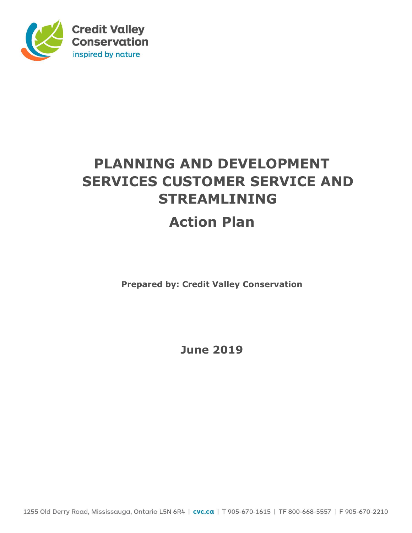

# **PLANNING AND DEVELOPMENT SERVICES CUSTOMER SERVICE AND STREAMLINING**

# **Action Plan**

**Prepared by: Credit Valley Conservation** 

**June 2019** 

1255 Old Derry Road, Mississauga, Ontario L5N 6R4 | cvc.ca | T 905-670-1615 | TF 800-668-5557 | F 905-670-2210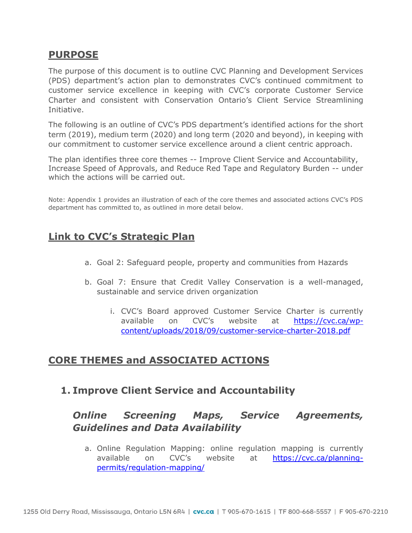### **PURPOSE**

The purpose of this document is to outline CVC Planning and Development Services (PDS) department's action plan to demonstrates CVC's continued commitment to customer service excellence in keeping with CVC's corporate Customer Service Charter and consistent with Conservation Ontario's Client Service Streamlining Initiative.

The following is an outline of CVC's PDS department's identified actions for the short term (2019), medium term (2020) and long term (2020 and beyond), in keeping with our commitment to customer service excellence around a client centric approach.

The plan identifies three core themes -- Improve Client Service and Accountability, Increase Speed of Approvals, and Reduce Red Tape and Regulatory Burden -- under which the actions will be carried out.

Note: Appendix 1 provides an illustration of each of the core themes and associated actions CVC's PDS department has committed to, as outlined in more detail below.

## **Link to CVC's Strategic Plan**

- a. Goal 2: Safeguard people, property and communities from Hazards
- b. Goal 7: Ensure that Credit Valley Conservation is a well-managed, sustainable and service driven organization
	- i. CVC's Board approved Customer Service Charter is currently available on CVC's website at [https://cvc.ca/wp](https://cvc.ca/wp-content/uploads/2018/09/customer-service-charter-2018.pdf)[content/uploads/2018/09/customer-service-charter-2018.pdf](https://cvc.ca/wp-content/uploads/2018/09/customer-service-charter-2018.pdf)

### **CORE THEMES and ASSOCIATED ACTIONS**

**1. Improve Client Service and Accountability** 

## *Online Screening Maps, Service Agreements, Guidelines and Data Availability*

a. Online Regulation Mapping: online regulation mapping is currently available on CVC's website at [https://cvc.ca/planning](https://cvc.ca/planning-permits/regulation-mapping/)[permits/regulation-mapping/](https://cvc.ca/planning-permits/regulation-mapping/)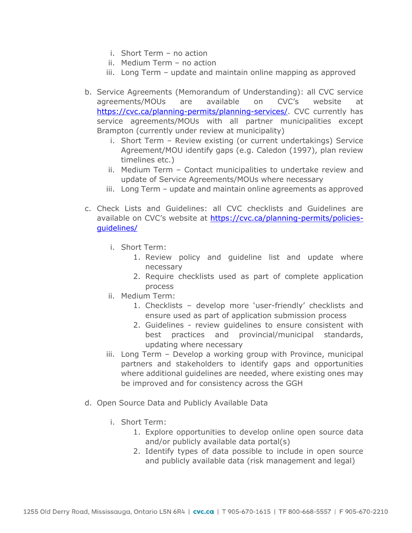- i. Short Term no action
- ii. Medium Term no action
- iii. Long Term update and maintain online mapping as approved
- b. Service Agreements (Memorandum of Understanding): all CVC service agreements/MOUs are available on CVC's website at [https://cvc.ca/planning-permits/planning-services/.](https://cvc.ca/planning-permits/planning-services/) CVC currently has service agreements/MOUs with all partner municipalities except Brampton (currently under review at municipality)
	- i. Short Term Review existing (or current undertakings) Service Agreement/MOU identify gaps (e.g. Caledon (1997), plan review timelines etc.)
	- ii. Medium Term Contact municipalities to undertake review and update of Service Agreements/MOUs where necessary
	- iii. Long Term update and maintain online agreements as approved
- c. Check Lists and Guidelines: all CVC checklists and Guidelines are available on CVC's website at [https://cvc.ca/planning-permits/policies](https://cvc.ca/planning-permits/policies-guidelines/)[guidelines/](https://cvc.ca/planning-permits/policies-guidelines/)
	- i. Short Term:
		- 1. Review policy and guideline list and update where necessary
		- 2. Require checklists used as part of complete application process
	- ii. Medium Term:
		- 1. Checklists develop more 'user-friendly' checklists and ensure used as part of application submission process
		- 2. Guidelines review guidelines to ensure consistent with best practices and provincial/municipal standards, updating where necessary
	- iii. Long Term Develop a working group with Province, municipal partners and stakeholders to identify gaps and opportunities where additional guidelines are needed, where existing ones may be improved and for consistency across the GGH
- d. Open Source Data and Publicly Available Data
	- i. Short Term:
		- 1. Explore opportunities to develop online open source data and/or publicly available data portal(s)
		- 2. Identify types of data possible to include in open source and publicly available data (risk management and legal)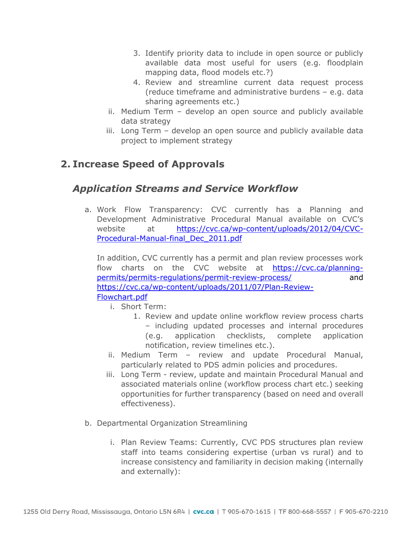- 3. Identify priority data to include in open source or publicly available data most useful for users (e.g. floodplain mapping data, flood models etc.?)
- 4. Review and streamline current data request process (reduce timeframe and administrative burdens – e.g. data sharing agreements etc.)
- ii. Medium Term develop an open source and publicly available data strategy
- iii. Long Term develop an open source and publicly available data project to implement strategy

# **2. Increase Speed of Approvals**

## *Application Streams and Service Workflow*

a. Work Flow Transparency: CVC currently has a Planning and Development Administrative Procedural Manual available on CVC's website at [https://cvc.ca/wp-content/uploads/2012/04/CVC-](https://cvc.ca/wp-content/uploads/2012/04/CVC-Procedural-Manual-final_Dec_2011.pdf)[Procedural-Manual-final\\_Dec\\_2011.pdf](https://cvc.ca/wp-content/uploads/2012/04/CVC-Procedural-Manual-final_Dec_2011.pdf)

In addition, CVC currently has a permit and plan review processes work flow charts on the CVC website at [https://cvc.ca/planning](https://cvc.ca/planning-permits/permits-regulations/permit-review-process/)[permits/permits-regulations/permit-review-process/](https://cvc.ca/planning-permits/permits-regulations/permit-review-process/) and [https://cvc.ca/wp-content/uploads/2011/07/Plan-Review-](https://cvc.ca/wp-content/uploads/2011/07/Plan-Review-Flowchart.pdf)[Flowchart.pdf](https://cvc.ca/wp-content/uploads/2011/07/Plan-Review-Flowchart.pdf) 

- i. Short Term:
	- 1. Review and update online workflow review process charts – including updated processes and internal procedures (e.g. application checklists, complete application notification, review timelines etc.).
- ii. Medium Term review and update Procedural Manual, particularly related to PDS admin policies and procedures.
- iii. Long Term review, update and maintain Procedural Manual and associated materials online (workflow process chart etc.) seeking opportunities for further transparency (based on need and overall effectiveness).
- b. Departmental Organization Streamlining
	- i. Plan Review Teams: Currently, CVC PDS structures plan review staff into teams considering expertise (urban vs rural) and to increase consistency and familiarity in decision making (internally and externally):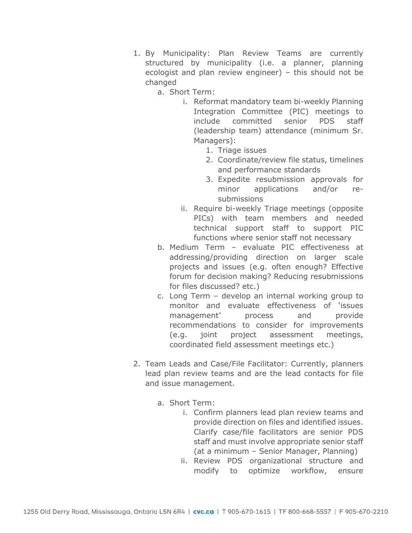- 1. By Municipality: Plan Review Teams are currently structured by municipality (i.e. a planner, planning ecologist and plan review engineer) – this should not be changed
	- a. Short Term:
		- i. Reformat mandatory team bi-weekly Planning Integration Committee (PIC) meetings to include committed senior PDS staff (leadership team) attendance (minimum Sr. Managers):
			- 1. Triage issues
			- 2. Coordinate/review file status, timelines and performance standards
			- 3. Expedite resubmission approvals for minor applications and/or resubmissions
		- ii. Require bi-weekly Triage meetings (opposite PICs) with team members and needed technical support staff to support PIC functions where senior staff not necessary
	- b. Medium Term evaluate PIC effectiveness at addressing/providing direction on larger scale projects and issues (e.g. often enough? Effective forum for decision making? Reducing resubmissions for files discussed? etc.)
	- c. Long Term develop an internal working group to monitor and evaluate effectiveness of 'issues management' process and provide recommendations to consider for improvements (e.g. joint project assessment meetings, coordinated field assessment meetings etc.)
- 2. Team Leads and Case/File Facilitator: Currently, planners lead plan review teams and are the lead contacts for file and issue management.
	- a. Short Term:
		- i. Confirm planners lead plan review teams and provide direction on files and identified issues. Clarify case/file facilitators are senior PDS staff and must involve appropriate senior staff (at a minimum – Senior Manager, Planning)
		- ii. Review PDS organizational structure and modify to optimize workflow, ensure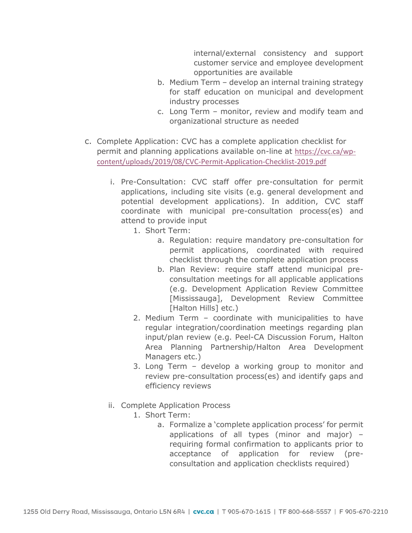internal/external consistency and support customer service and employee development opportunities are available

- b. Medium Term develop an internal training strategy for staff education on municipal and development industry processes
- c. Long Term monitor, review and modify team and organizational structure as needed
- c. Complete Application: CVC has a complete application checklist for permit and planning applications available on-line at [https://cvc.ca/wp](https://cvc.ca/wp-content/uploads/2019/08/CVC-Permit-Application-Checklist-2019.pdf)[content/uploads/2019/08/CVC-Permit-Application-Checklist-2019.pdf](https://cvc.ca/wp-content/uploads/2019/08/CVC-Permit-Application-Checklist-2019.pdf)
	- i. Pre-Consultation: CVC staff offer pre-consultation for permit applications, including site visits (e.g. general development and potential development applications). In addition, CVC staff coordinate with municipal pre-consultation process(es) and attend to provide input
		- 1. Short Term:
			- a. Regulation: require mandatory pre-consultation for permit applications, coordinated with required checklist through the complete application process
			- b. Plan Review: require staff attend municipal preconsultation meetings for all applicable applications (e.g. Development Application Review Committee [Mississauga], Development Review Committee [Halton Hills] etc.)
		- 2. Medium Term coordinate with municipalities to have regular integration/coordination meetings regarding plan input/plan review (e.g. Peel-CA Discussion Forum, Halton Area Planning Partnership/Halton Area Development Managers etc.)
		- 3. Long Term develop a working group to monitor and review pre-consultation process(es) and identify gaps and efficiency reviews
	- ii. Complete Application Process
		- 1. Short Term:
			- a. Formalize a 'complete application process' for permit applications of all types (minor and major) – requiring formal confirmation to applicants prior to acceptance of application for review (preconsultation and application checklists required)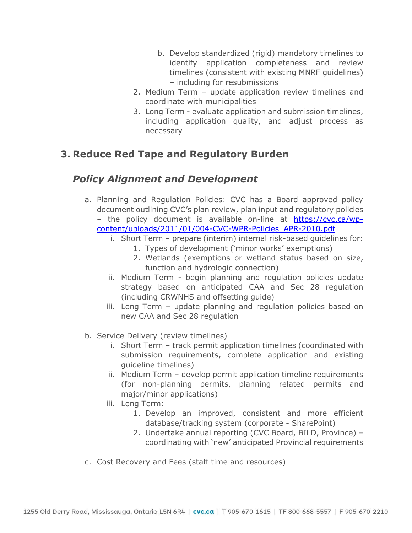- b. Develop standardized (rigid) mandatory timelines to identify application completeness and review timelines (consistent with existing MNRF guidelines) – including for resubmissions
- 2. Medium Term update application review timelines and coordinate with municipalities
- 3. Long Term evaluate application and submission timelines, including application quality, and adjust process as necessary

### **3. Reduce Red Tape and Regulatory Burden**

## *Policy Alignment and Development*

- a. Planning and Regulation Policies: CVC has a Board approved policy document outlining CVC's plan review, plan input and regulatory policies – the policy document is available on-line at [https://cvc.ca/wp](https://cvc.ca/wp-content/uploads/2011/01/004-CVC-WPR-Policies_APR-2010.pdf)[content/uploads/2011/01/004-CVC-WPR-Policies\\_APR-2010.pdf](https://cvc.ca/wp-content/uploads/2011/01/004-CVC-WPR-Policies_APR-2010.pdf)
	- i. Short Term prepare (interim) internal risk-based guidelines for:
		- 1. Types of development ('minor works' exemptions)
		- 2. Wetlands (exemptions or wetland status based on size, function and hydrologic connection)
	- ii. Medium Term begin planning and regulation policies update strategy based on anticipated CAA and Sec 28 regulation (including CRWNHS and offsetting guide)
	- iii. Long Term update planning and regulation policies based on new CAA and Sec 28 regulation
- b. Service Delivery (review timelines)
	- i. Short Term track permit application timelines (coordinated with submission requirements, complete application and existing guideline timelines)
	- ii. Medium Term develop permit application timeline requirements (for non-planning permits, planning related permits and major/minor applications)
	- iii. Long Term:
		- 1. Develop an improved, consistent and more efficient database/tracking system (corporate - SharePoint)
		- 2. Undertake annual reporting (CVC Board, BILD, Province) coordinating with 'new' anticipated Provincial requirements
- c. Cost Recovery and Fees (staff time and resources)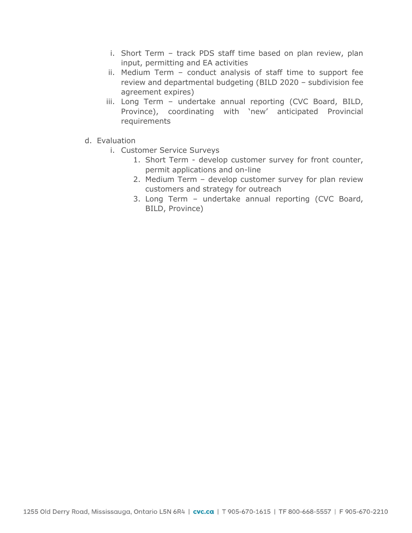- i. Short Term track PDS staff time based on plan review, plan input, permitting and EA activities
- ii. Medium Term conduct analysis of staff time to support fee review and departmental budgeting (BILD 2020 – subdivision fee agreement expires)
- iii. Long Term undertake annual reporting (CVC Board, BILD, Province), coordinating with 'new' anticipated Provincial requirements
- d. Evaluation
	- i. Customer Service Surveys
		- 1. Short Term develop customer survey for front counter, permit applications and on-line
		- 2. Medium Term develop customer survey for plan review customers and strategy for outreach
		- 3. Long Term undertake annual reporting (CVC Board, BILD, Province)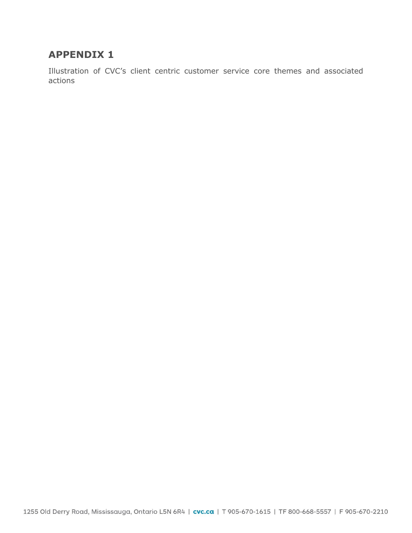## **APPENDIX 1**

Illustration of CVC's client centric customer service core themes and associated actions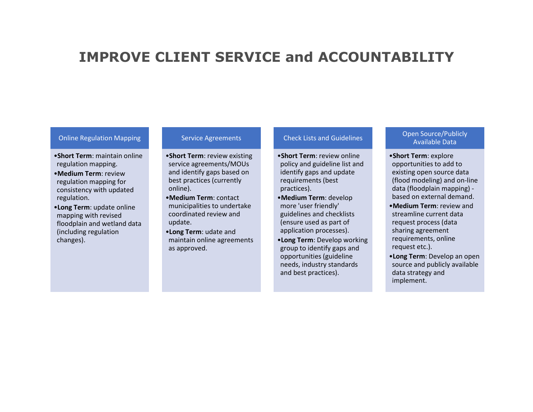# **IMPROVE CLIENT SERVICE and ACCOUNTABILITY**

### Online Regulation Mapping

- •**Short Term**: maintain online regulation mapping.
- •**Medium Term**: review regulation mapping for consistency with updated regulation.
- •**Long Term**: update online mapping with revised floodplain and wetland data (including regulation changes).

#### Service Agreements

- •**Short Term**: review existing service agreements/MOUs and identify gaps based on best practices (currently online).
- •**Medium Term**: contact municipalities to undertake coordinated review and update.
- •**Long Term**: udate and maintain online agreements as approved.

#### Check Lists and Guidelines

- •**Short Term**: review online policy and guideline list and identify gaps and update requirements (best practices).
- •**Medium Term**: develop more 'user friendly' guidelines and checklists (ensure used as part of application processes).
- •**Long Term**: Develop working group to identify gaps and opportunities (guideline needs, industry standards and best practices).

### Open Source/Publicly Available Data

- •**Short Term**: explore opportunities to add to existing open source data (flood modeling) and on-line data (floodplain mapping) based on external demand.
- •**Medium Term**: review and streamline current data request process (data sharing agreement requirements, online request etc.).
- •**Long Term**: Develop an open source and publicly available data strategy and implement.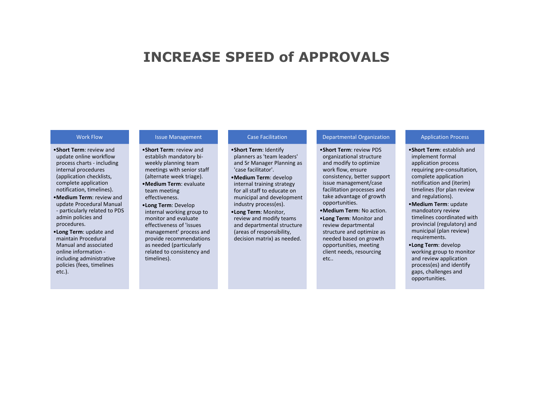# **INCREASE SPEED of APPROVALS**

#### Work Flow

•**Short Term**: review and update online workflow process charts - including internal procedures (application checklists, complete application notification, timelines).

- •**Medium Term**: review and update Procedural Manual - particularly related to PDS admin policies and procedures.
- •**Long Term**: update and maintain Procedural Manual and associated online information including administrative policies (fees, timelines etc.).

### Issue Management

•**Short Term**: review and establish mandatory biweekly planning team meetings with senior staff (alternate week triage). •**Medium Term**: evaluate

- team meeting effectiveness.
- •**Long Term**: Develop internal working group to monitor and evaluate effectiveness of 'issues management' process and provide recommendations as needed (particularly related to consistency and timelines).

#### Case Facilitation

•**Short Term**: Identify planners as 'team leaders' and Sr Manager Planning as 'case facilitator'.

- •**Medium Term**: develop internal training strategy for all staff to educate on municipal and development industry process(es).
- •**Long Term**: Monitor, review and modify teams and departmental structure (areas of responsibility, decision matrix) as needed.

#### Departmental Organization

•**Short Term**: review PDS organizational structure and modify to optimize work flow, ensure consistency, better support issue management/case facilitation processes and take advantage of growth opportunities.

- •**Medium Term**: No action.
- •**Long Term**: Monitor and review departmental structure and optimize as needed based on growth opportunities, meeting client needs, resourcing etc..

#### Application Process

- •**Short Term**: establish and implement formal application process requiring pre-consultation, complete application notification and (iterim) timelines (for plan review and regulations).
- •**Medium Term**: update mandoatory review timelines coordinated with provincial (regulatory) and municipal (plan review) requirements.
- •**Long Term**: develop working group to monitor and review application process(es) and identify gaps, challenges and opportunities.